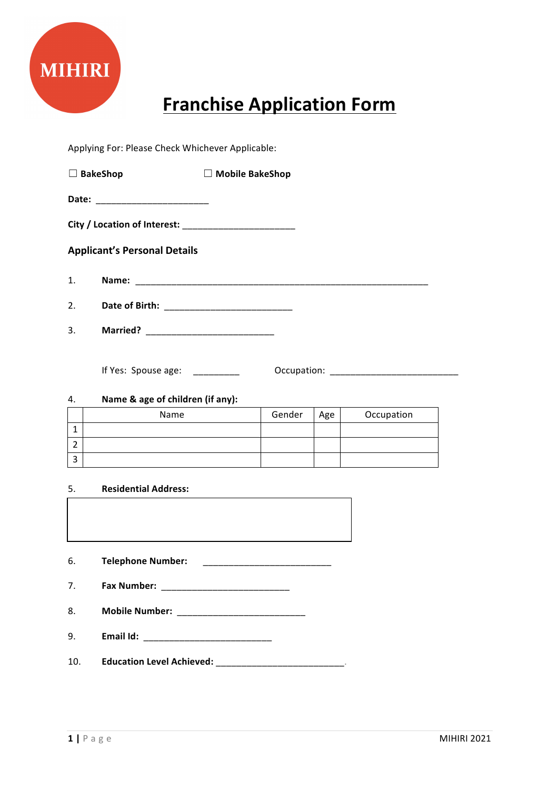

# **Franchise Application Form**

Applying For: Please Check Whichever Applicable:

| $\Box$ BakeShop                     |                 | $\Box$ Mobile BakeShop |  |  |  |
|-------------------------------------|-----------------|------------------------|--|--|--|
|                                     |                 |                        |  |  |  |
|                                     |                 |                        |  |  |  |
| <b>Applicant's Personal Details</b> |                 |                        |  |  |  |
| 1.                                  |                 |                        |  |  |  |
| 2.                                  |                 |                        |  |  |  |
| 3.                                  | <b>Married?</b> |                        |  |  |  |

If Yes: Spouse age:  $\qquad \qquad \qquad \qquad \qquad \qquad \qquad$  Occupation:  $\qquad \qquad \qquad \qquad \qquad$ 

### 4. **Name & age of children (if any):**

| Name | Gender | Age | Occupation |
|------|--------|-----|------------|
|      |        |     |            |
|      |        |     |            |
|      |        |     |            |

#### 5. **Residential Address:**

| 6.             | <b>Telephone Number:</b>                                                  |
|----------------|---------------------------------------------------------------------------|
| 7 <sub>1</sub> |                                                                           |
| 8.             | <b>Mobile Number:</b><br><u> 1980 - Jan Barbara, masonar margaretar (</u> |
| 9.             | Email Id:                                                                 |
| 10.            | <b>Education Level Achieved:</b>                                          |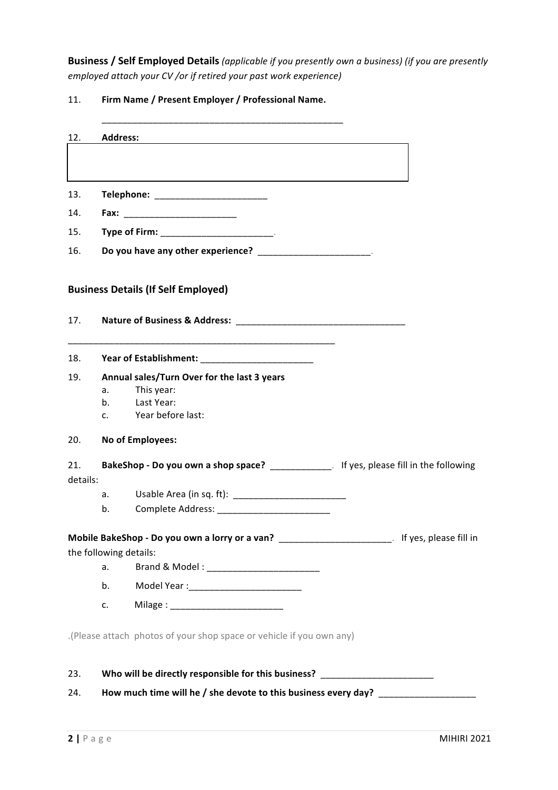**Business / Self Employed Details** (applicable if you presently own a business) (if you are presently *employed attach your CV* /or if retired your past work experience)

## 11. **Firm Name / Present Employer / Professional Name.**

| 12.             | <b>Address:</b>                                                                           |                                                                                                                                                                                                                                |  |  |  |  |
|-----------------|-------------------------------------------------------------------------------------------|--------------------------------------------------------------------------------------------------------------------------------------------------------------------------------------------------------------------------------|--|--|--|--|
|                 |                                                                                           |                                                                                                                                                                                                                                |  |  |  |  |
| 13.             |                                                                                           | Telephone: _________________________                                                                                                                                                                                           |  |  |  |  |
| 14.             |                                                                                           |                                                                                                                                                                                                                                |  |  |  |  |
| 15.             |                                                                                           | Type of Firm: New York Change of Service Change of Service Change of Service Change of Service Change of Service Change of Service Change of Service Change of Service Change of Service Change of Service Change of Service C |  |  |  |  |
| 16.             | Do you have any other experience? Do you have any other experience?                       |                                                                                                                                                                                                                                |  |  |  |  |
|                 |                                                                                           | <b>Business Details (If Self Employed)</b>                                                                                                                                                                                     |  |  |  |  |
| 17.             |                                                                                           |                                                                                                                                                                                                                                |  |  |  |  |
|                 |                                                                                           |                                                                                                                                                                                                                                |  |  |  |  |
| 19.             |                                                                                           | Annual sales/Turn Over for the last 3 years                                                                                                                                                                                    |  |  |  |  |
|                 | a.<br>b <sub>1</sub>                                                                      | This year:<br>Last Year:                                                                                                                                                                                                       |  |  |  |  |
|                 | C.                                                                                        | Year before last:                                                                                                                                                                                                              |  |  |  |  |
| 20.             |                                                                                           | No of Employees:                                                                                                                                                                                                               |  |  |  |  |
| 21.<br>details: | BakeShop - Do you own a shop space? _______________. If yes, please fill in the following |                                                                                                                                                                                                                                |  |  |  |  |
|                 | a.                                                                                        |                                                                                                                                                                                                                                |  |  |  |  |
|                 | b.                                                                                        |                                                                                                                                                                                                                                |  |  |  |  |
|                 |                                                                                           | Mobile BakeShop - Do you own a lorry or a van? __________________________________ If yes, please fill in                                                                                                                       |  |  |  |  |
|                 | the following details:                                                                    |                                                                                                                                                                                                                                |  |  |  |  |
|                 | a.                                                                                        |                                                                                                                                                                                                                                |  |  |  |  |
|                 | b.                                                                                        |                                                                                                                                                                                                                                |  |  |  |  |
|                 | c.                                                                                        |                                                                                                                                                                                                                                |  |  |  |  |
|                 |                                                                                           | (Please attach photos of your shop space or vehicle if you own any).                                                                                                                                                           |  |  |  |  |
| 23.             |                                                                                           | Who will be directly responsible for this business? ____________________________                                                                                                                                               |  |  |  |  |

24. **How much time will he / she devote to this business every day?** \_\_\_\_\_\_\_\_\_\_\_\_\_\_\_\_\_\_